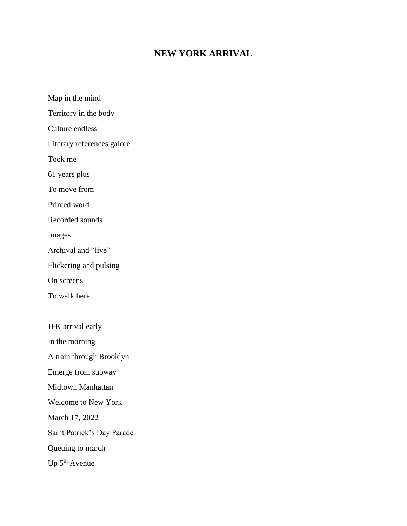## **NEW YORK ARRIVAL**

Map in the mind Territory in the body Culture endless Literary references galore Took me 61 years plus To move from Printed word Recorded sounds Images Archival and "live" Flickering and pulsing On screens To walk here JFK arrival early In the morning A train through Brooklyn Emerge from subway Midtown Manhattan Welcome to New York March 17, 2022 Saint Patrick's Day Parade Queuing to march Up 5<sup>th</sup> Avenue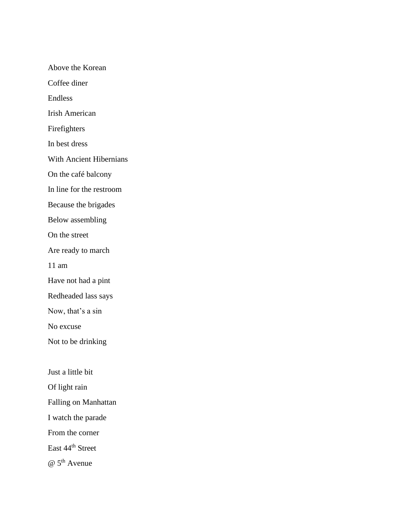Above the Korean Coffee diner Endless Irish American Firefighters In best dress With Ancient Hibernians On the café balcony In line for the restroom Because the brigades Below assembling On the street Are ready to march 11 am Have not had a pint Redheaded lass says Now, that's a sin No excuse Not to be drinking Just a little bit Of light rain Falling on Manhattan I watch the parade From the corner East 44th Street  $\omega$  5<sup>th</sup> Avenue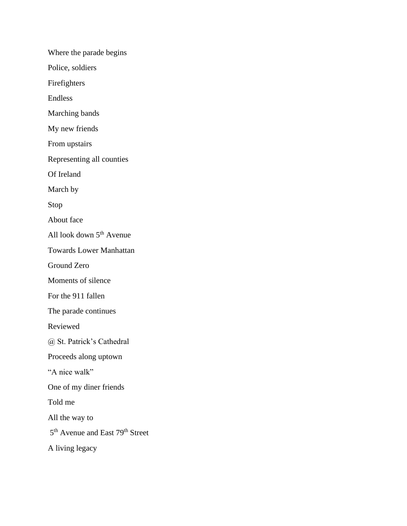Where the parade begins Police, soldiers Firefighters Endless Marching bands My new friends From upstairs Representing all counties Of Ireland March by Stop About face All look down  $5<sup>th</sup>$  Avenue Towards Lower Manhattan Ground Zero Moments of silence For the 911 fallen The parade continues Reviewed @ St. Patrick's Cathedral Proceeds along uptown "A nice walk" One of my diner friends Told me All the way to 5<sup>th</sup> Avenue and East 79<sup>th</sup> Street A living legacy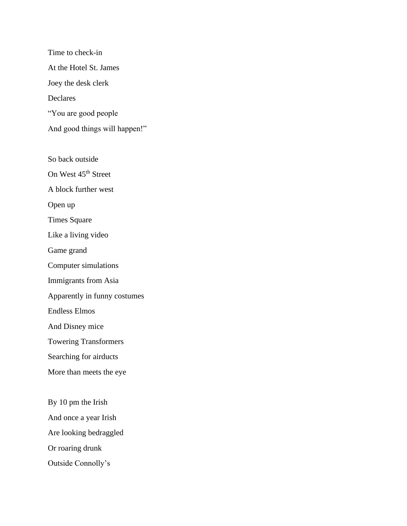Time to check-in At the Hotel St. James Joey the desk clerk Declares "You are good people And good things will happen!"

So back outside On West 45<sup>th</sup> Street A block further west Open up Times Square Like a living video Game grand Computer simulations Immigrants from Asia Apparently in funny costumes Endless Elmos And Disney mice Towering Transformers Searching for airducts More than meets the eye By 10 pm the Irish

And once a year Irish Are looking bedraggled Or roaring drunk Outside Connolly's